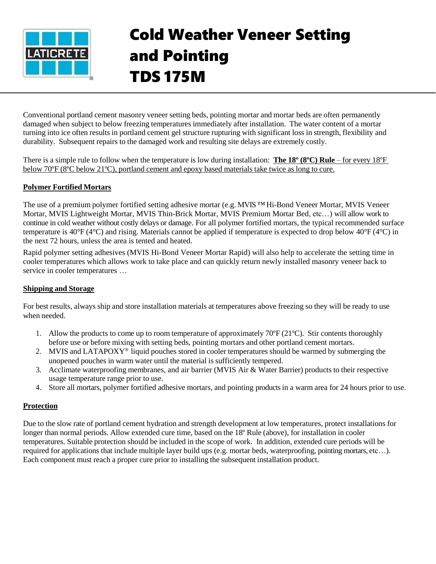

# Cold Weather Veneer Setting and Pointing TDS 175M

Conventional portland cement masonry veneer setting beds, pointing mortar and mortar beds are often permanently damaged when subject to below freezing temperatures immediately after installation. The water content of a mortar turning into ice often results in portland cement gel structure rupturing with significant loss in strength, flexibility and durability. Subsequent repairs to the damaged work and resulting site delays are extremely costly.

There is a simple rule to follow when the temperature is low during installation: **The 18º (8ºC) Rule** – for every 18ºF below 70ºF (8ºC below 21ºC), portland cement and epoxy based materials take twice as long to cure.

## **Polymer Fortified Mortars**

The use of a premium polymer fortified setting adhesive mortar (e.g. MVIS ™ Hi-Bond Veneer Mortar, MVIS Veneer Mortar, MVIS Lightweight Mortar, MVIS Thin-Brick Mortar, MVIS Premium Mortar Bed, etc…) will allow work to continue in cold weather without costly delays or damage. For all polymer fortified mortars, the typical recommended surface temperature is 40°F (4°C) and rising. Materials cannot be applied if temperature is expected to drop below 40°F (4°C) in the next 72 hours, unless the area is tented and heated.

Rapid polymer setting adhesives (MVIS Hi-Bond Veneer Mortar Rapid) will also help to accelerate the setting time in cooler temperatures which allows work to take place and can quickly return newly installed masonry veneer back to service in cooler temperatures …

#### **Shipping and Storage**

For best results, always ship and store installation materials at temperatures above freezing so they will be ready to use when needed.

- 1. Allow the products to come up to room temperature of approximately 70ºF (21ºC). Stir contents thoroughly before use or before mixing with setting beds, pointing mortars and other portland cement mortars.
- 2. MVIS and LATAPOXY® liquid pouches stored in cooler temperatures should be warmed by submerging the unopened pouches in warm water until the material is sufficiently tempered.
- 3. Acclimate waterproofing membranes, and air barrier (MVIS Air & Water Barrier) products to their respective usage temperature range prior to use.
- 4. Store all mortars, polymer fortified adhesive mortars, and pointing productsin a warm area for 24 hours prior to use.

## **Protection**

Due to the slow rate of portland cement hydration and strength development at low temperatures, protect installations for longer than normal periods. Allow extended cure time, based on the 18º Rule (above), for installation in cooler temperatures. Suitable protection should be included in the scope of work. In addition, extended cure periods will be required for applications that include multiple layer build ups (e.g. mortar beds, waterproofing, pointing mortars, etc…). Each component must reach a proper cure prior to installing the subsequent installation product.